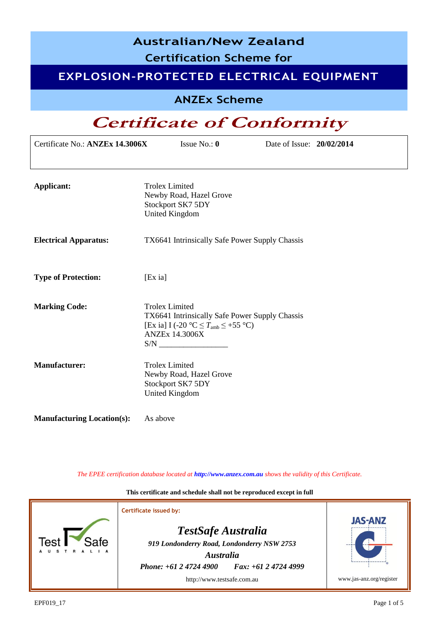| <b>Australian/New Zealand</b><br><b>Certification Scheme for</b><br>EXPLOSION-PROTECTED ELECTRICAL EQUIPMENT |                                                                                                                                                                                 |                                  |  |  |  |
|--------------------------------------------------------------------------------------------------------------|---------------------------------------------------------------------------------------------------------------------------------------------------------------------------------|----------------------------------|--|--|--|
| <b>ANZEx Scheme</b>                                                                                          |                                                                                                                                                                                 |                                  |  |  |  |
|                                                                                                              |                                                                                                                                                                                 | <b>Certificate of Conformity</b> |  |  |  |
| Certificate No.: ANZEx 14.3006X<br>Issue No.: $\mathbf{0}$<br>Date of Issue: 20/02/2014                      |                                                                                                                                                                                 |                                  |  |  |  |
| Applicant:                                                                                                   | <b>Trolex Limited</b><br>Newby Road, Hazel Grove<br>Stockport SK7 5DY<br><b>United Kingdom</b>                                                                                  |                                  |  |  |  |
| <b>Electrical Apparatus:</b>                                                                                 | TX6641 Intrinsically Safe Power Supply Chassis                                                                                                                                  |                                  |  |  |  |
| <b>Type of Protection:</b>                                                                                   | $[Ex\,\mathrm{i}a]$                                                                                                                                                             |                                  |  |  |  |
| <b>Marking Code:</b>                                                                                         | <b>Trolex Limited</b><br>TX6641 Intrinsically Safe Power Supply Chassis<br>[Ex ia] I (-20 $\textdegree C \leq T_{\text{amb}} \leq +55 \textdegree C$ )<br><b>ANZEx 14.3006X</b> |                                  |  |  |  |
| <b>Manufacturer:</b>                                                                                         | <b>Trolex Limited</b><br>Newby Road, Hazel Grove<br>Stockport SK7 5DY<br><b>United Kingdom</b>                                                                                  |                                  |  |  |  |
| <b>Manufacturing Location(s):</b>                                                                            | As above                                                                                                                                                                        |                                  |  |  |  |

*The EPEE certification database located at http://www.anzex.com.au shows the validity of this Certificate.*

**This certificate and schedule shall not be reproduced except in full**

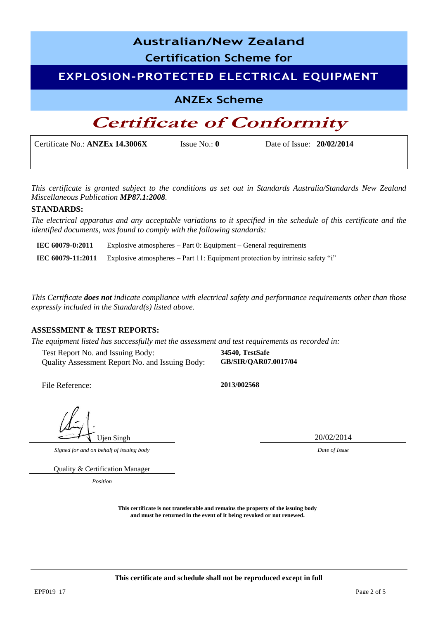| <b>Australian/New Zealand</b>                                                           |  |  |  |  |
|-----------------------------------------------------------------------------------------|--|--|--|--|
| <b>Certification Scheme for</b>                                                         |  |  |  |  |
| <b>EXPLOSION-PROTECTED ELECTRICAL EQUIPMENT</b>                                         |  |  |  |  |
| <b>ANZEx Scheme</b>                                                                     |  |  |  |  |
| <b>Certificate of Conformity</b>                                                        |  |  |  |  |
| Certificate No.: ANZEx 14.3006X<br>Issue No.: $\mathbf{0}$<br>Date of Issue: 20/02/2014 |  |  |  |  |

*This certificate is granted subject to the conditions as set out in Standards Australia/Standards New Zealand Miscellaneous Publication MP87.1:2008.*

#### **STANDARDS:**

*The electrical apparatus and any acceptable variations to it specified in the schedule of this certificate and the identified documents, was found to comply with the following standards:* 

**IEC 60079-0:2011** Explosive atmospheres – Part 0: Equipment – General requirements **IEC 60079-11:2011** Explosive atmospheres – Part 11: Equipment protection by intrinsic safety "i"

*This Certificate does not indicate compliance with electrical safety and performance requirements other than those expressly included in the Standard(s) listed above.*

#### **ASSESSMENT & TEST REPORTS:**

*The equipment listed has successfully met the assessment and test requirements as recorded in:* 

Test Report No. and Issuing Body: **34540, TestSafe** Quality Assessment Report No. and Issuing Body: **GB/SIR/QAR07.0017/04**

File Reference: **2013/002568**

*Signed for and on behalf of issuing body Date of Issue*

Ujen Singh 20/02/2014

Quality & Certification Manager

*Position*

**This certificate is not transferable and remains the property of the issuing body and must be returned in the event of it being revoked or not renewed.**

**This certificate and schedule shall not be reproduced except in full**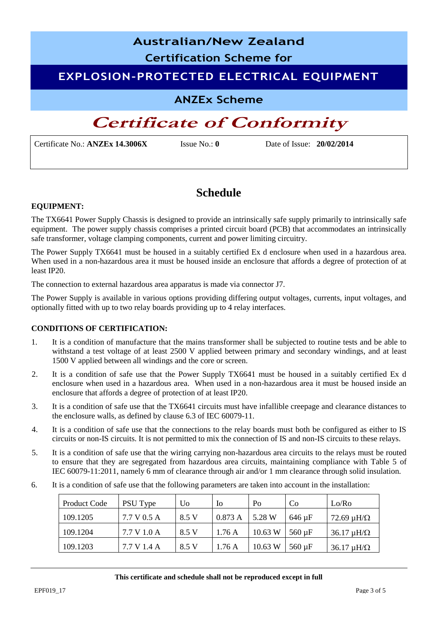# **Australian/New Zealand Certification Scheme for**

### **EXPLOSION-PROTECTED ELECTRICAL EQUIPMENT**

### **ANZEx Scheme**

## **Certificate of Conformity**

Certificate No.: **ANZEx 14.3006X** Issue No.: **0** Date of Issue: **20/02/2014**

### **Schedule**

#### **EQUIPMENT:**

The TX6641 Power Supply Chassis is designed to provide an intrinsically safe supply primarily to intrinsically safe equipment. The power supply chassis comprises a printed circuit board (PCB) that accommodates an intrinsically safe transformer, voltage clamping components, current and power limiting circuitry.

The Power Supply TX6641 must be housed in a suitably certified Ex d enclosure when used in a hazardous area. When used in a non-hazardous area it must be housed inside an enclosure that affords a degree of protection of at least IP20.

The connection to external hazardous area apparatus is made via connector J7.

The Power Supply is available in various options providing differing output voltages, currents, input voltages, and optionally fitted with up to two relay boards providing up to 4 relay interfaces.

### **CONDITIONS OF CERTIFICATION:**

- 1. It is a condition of manufacture that the mains transformer shall be subjected to routine tests and be able to withstand a test voltage of at least 2500 V applied between primary and secondary windings, and at least 1500 V applied between all windings and the core or screen.
- 2. It is a condition of safe use that the Power Supply TX6641 must be housed in a suitably certified Ex d enclosure when used in a hazardous area. When used in a non-hazardous area it must be housed inside an enclosure that affords a degree of protection of at least IP20.
- 3. It is a condition of safe use that the TX6641 circuits must have infallible creepage and clearance distances to the enclosure walls, as defined by clause 6.3 of IEC 60079-11.
- 4. It is a condition of safe use that the connections to the relay boards must both be configured as either to IS circuits or non-IS circuits. It is not permitted to mix the connection of IS and non-IS circuits to these relays.
- 5. It is a condition of safe use that the wiring carrying non-hazardous area circuits to the relays must be routed to ensure that they are segregated from hazardous area circuits, maintaining compliance with Table 5 of IEC 60079-11:2011, namely 6 mm of clearance through air and/or 1 mm clearance through solid insulation.
- 6. It is a condition of safe use that the following parameters are taken into account in the installation:

| Product Code | PSU Type    | Uo    | 10     | Po      | C <sub>0</sub> | Lo/Ro                   |
|--------------|-------------|-------|--------|---------|----------------|-------------------------|
| 109.1205     | 7.7 V 0.5 A | 8.5 V | 0.873A | 5.28 W  | $646 \mu F$    | 72.69 $\mu$ H/ $\Omega$ |
| 109.1204     | 7.7 V 1.0 A | 8.5 V | 1.76A  | 10.63 W | 560 µF         | $36.17 \mu H/\Omega$    |
| 109.1203     | 7.7 V 1.4 A | 8.5 V | 1.76A  | 10.63 W | $560 \mu F$    | $36.17 \mu H/\Omega$    |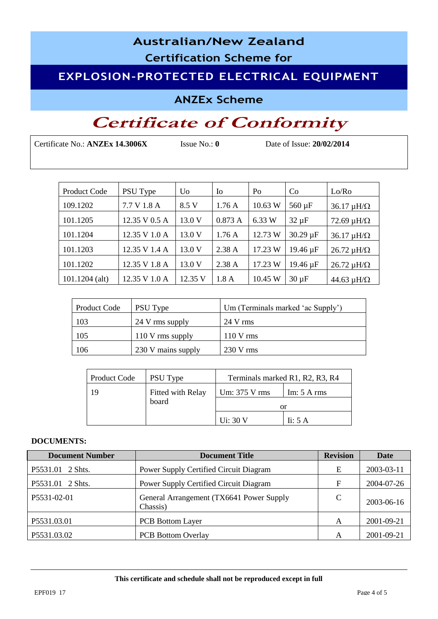# **Australian/New Zealand**

**Certification Scheme for**

### **EXPLOSION-PROTECTED ELECTRICAL EQUIPMENT**

**ANZEx Scheme**

# **Certificate of Conformity**

Certificate No.: **ANZEx 14.3006X** Issue No.: **0** Date of Issue: **20/02/2014** 

| <b>Product Code</b> | PSU Type      | Uo      | <b>I</b> o | Po      | Co            | Lo/Ro                   |
|---------------------|---------------|---------|------------|---------|---------------|-------------------------|
| 109.1202            | 7.7 V 1.8 A   | 8.5 V   | 1.76A      | 10.63 W | $560 \mu F$   | $36.17 \mu H/\Omega$    |
| 101.1205            | 12.35 V 0.5 A | 13.0 V  | 0.873A     | 6.33 W  | $32 \mu F$    | 72.69 $\mu$ H/ $\Omega$ |
| 101.1204            | 12.35 V 1.0 A | 13.0 V  | 1.76A      | 12.73 W | $30.29 \mu F$ | $36.17 \mu H/\Omega$    |
| 101.1203            | 12.35 V 1.4 A | 13.0 V  | 2.38A      | 17.23 W | 19.46 µF      | $26.72 \mu H/\Omega$    |
| 101.1202            | 12.35 V 1.8 A | 13.0 V  | 2.38A      | 17.23 W | 19.46 µF      | $26.72 \mu H/\Omega$    |
| $101.1204$ (alt)    | 12.35 V 1.0 A | 12.35 V | 1.8A       | 10.45 W | $30 \mu F$    | 44.63 $\mu$ H/ $\Omega$ |

| <b>Product Code</b> | PSU Type           | Um (Terminals marked 'ac Supply') |
|---------------------|--------------------|-----------------------------------|
| 103                 | 24 V rms supply    | $24$ V rms                        |
| 105                 | $110$ V rms supply | $110 \text{ V}$ rms               |
| 106                 | 230 V mains supply | $230 \text{ V}$ rms               |

| Product Code               | PSU Type | Terminals marked R1, R2, R3, R4              |                   |  |  |
|----------------------------|----------|----------------------------------------------|-------------------|--|--|
| Fitted with Relay<br>board |          | Um: 375 V rms<br>Im: $5 \text{ A rms}$<br>or |                   |  |  |
|                            |          | Ui: 30 V                                     | Ii: $5 \text{ A}$ |  |  |

#### **DOCUMENTS:**

| <b>Document Number</b> | <b>Document Title</b>                                | <b>Revision</b> | Date       |
|------------------------|------------------------------------------------------|-----------------|------------|
| P5531.01 2 Shts.       | Power Supply Certified Circuit Diagram               | E               | 2003-03-11 |
| P5531.01 2 Shts.       | Power Supply Certified Circuit Diagram               | $\mathbf F$     | 2004-07-26 |
| P5531-02-01            | General Arrangement (TX6641 Power Supply<br>Chassis) | C               | 2003-06-16 |
| P5531.03.01            | <b>PCB</b> Bottom Layer                              | A               | 2001-09-21 |
| P5531.03.02            | <b>PCB</b> Bottom Overlay                            | A               | 2001-09-21 |